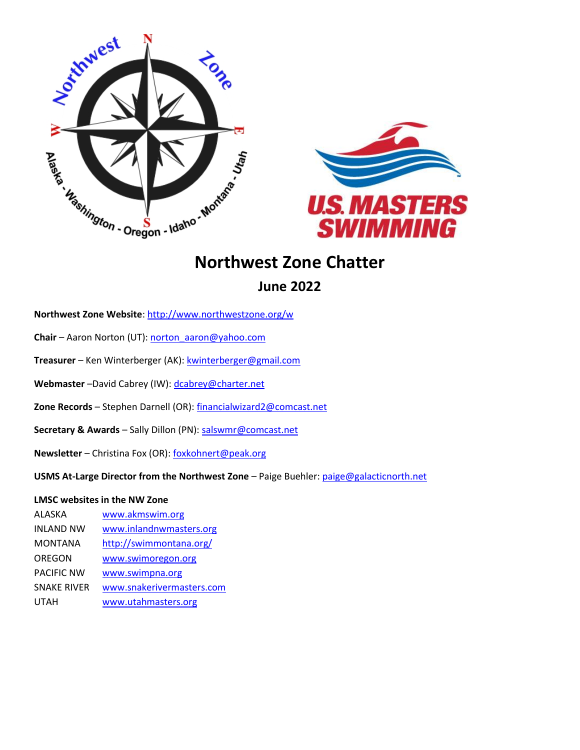



# **Northwest Zone Chatter**

**June 2022**

**Northwest Zone Website**[: http://www.northwestzone.org/w](http://www.northwestzone.org/)

**Chair** – Aaron Norton (UT): [norton\\_aaron@yahoo.com](mailto:norton_aaron@yahoo.com)

**Treasurer** – Ken Winterberger (AK): [kwinterberger@gmail.com](mailto:kwinterberger@gmail.com)

Webmaster –David Cabrey (IW)[: dcabrey@charter.net](mailto:dcabrey@charter.net)

**Zone Records** – Stephen Darnell (OR)[: financialwizard2@comcast.net](mailto:financialwizard2@comcast.net)

**Secretary & Awards** – Sally Dillon (PN): [salswmr@comcast.net](mailto:salswmr@comcast.net)

**Newsletter** – Christina Fox (OR)[: foxkohnert@peak.org](mailto:foxkohnert@peak.org)

**USMS At-Large Director from the Northwest Zone** – Paige Buehler: [paige@galacticnorth.net](mailto:paige@galacticnorth.net)

#### **LMSC websites in the NW Zone**

ALASKA [www.akmswim.org](http://www.akmswim.org/) INLAND NW [www.inlandnwmasters.org](http://www.inlandnwmasters.org/) MONTANA [http://swimmontana.org/](https://sites.google.com/a/mcpsmt.org/montana-masters-swimming/) OREGON [www.swimoregon.org](http://www.swimoregon.org/) PACIFIC NW [www.swimpna.org](http://www.swimpna.org/) SNAKE RIVER [www.snakerivermasters.com](http://www.snakerivermasters.com/) UTAH [www.utahmasters.org](http://www.utahmasters.org/)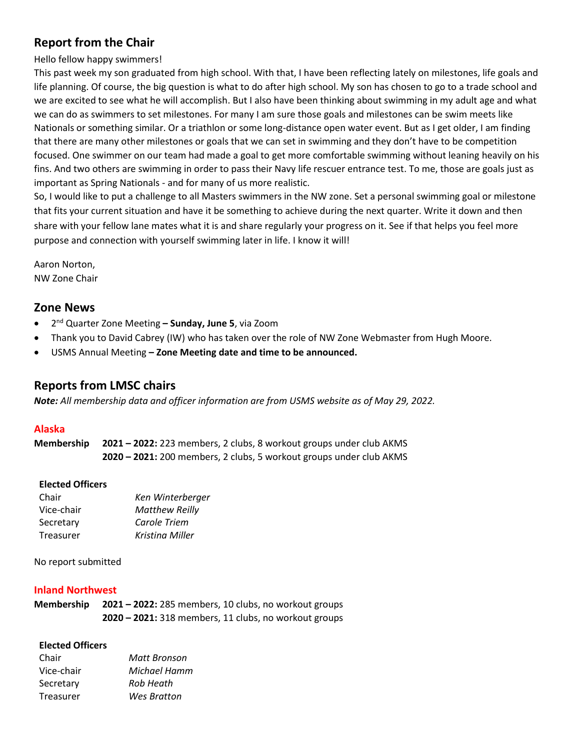# **Report from the Chair**

Hello fellow happy swimmers!

This past week my son graduated from high school. With that, I have been reflecting lately on milestones, life goals and life planning. Of course, the big question is what to do after high school. My son has chosen to go to a trade school and we are excited to see what he will accomplish. But I also have been thinking about swimming in my adult age and what we can do as swimmers to set milestones. For many I am sure those goals and milestones can be swim meets like Nationals or something similar. Or a triathlon or some long-distance open water event. But as I get older, I am finding that there are many other milestones or goals that we can set in swimming and they don't have to be competition focused. One swimmer on our team had made a goal to get more comfortable swimming without leaning heavily on his fins. And two others are swimming in order to pass their Navy life rescuer entrance test. To me, those are goals just as important as Spring Nationals - and for many of us more realistic.

So, I would like to put a challenge to all Masters swimmers in the NW zone. Set a personal swimming goal or milestone that fits your current situation and have it be something to achieve during the next quarter. Write it down and then share with your fellow lane mates what it is and share regularly your progress on it. See if that helps you feel more purpose and connection with yourself swimming later in life. I know it will!

Aaron Norton, NW Zone Chair

# **Zone News**

- 2 nd Quarter Zone Meeting **– Sunday, June 5**, via Zoom
- Thank you to David Cabrey (IW) who has taken over the role of NW Zone Webmaster from Hugh Moore.
- USMS Annual Meeting **– Zone Meeting date and time to be announced.**

# **Reports from LMSC chairs**

*Note: All membership data and officer information are from USMS website as of May 29, 2022.*

# **Alaska**

**Membership 2021 – 2022:** 223 members, 2 clubs, 8 workout groups under club AKMS **2020 – 2021:** 200 members, 2 clubs, 5 workout groups under club AKMS

#### **Elected Officers**

| Ken Winterberger      |
|-----------------------|
| <b>Matthew Reilly</b> |
| Carole Triem          |
| Kristina Miller       |
|                       |

No report submitted

#### **Inland Northwest**

**Membership 2021 – 2022:** 285 members, 10 clubs, no workout groups **2020 – 2021:** 318 members, 11 clubs, no workout groups

#### **Elected Officers**

| Chair      | Matt Bronson |
|------------|--------------|
| Vice-chair | Michael Hamm |
| Secretary  | Rob Heath    |
| Treasurer  | Wes Bratton  |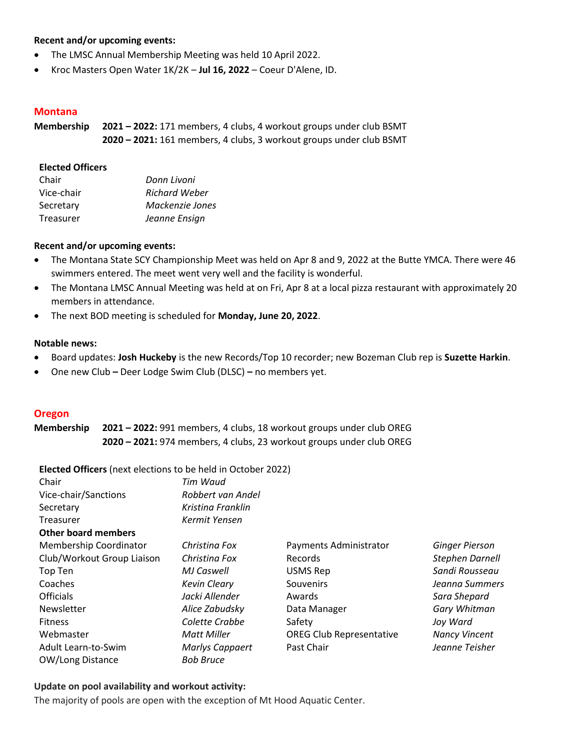#### **Recent and/or upcoming events:**

- The LMSC Annual Membership Meeting was held 10 April 2022.
- Kroc Masters Open Water 1K/2K **Jul 16, 2022** Coeur D'Alene, ID.

#### **Montana**

**Membership 2021 – 2022:** 171 members, 4 clubs, 4 workout groups under club BSMT **2020 – 2021:** 161 members, 4 clubs, 3 workout groups under club BSMT

#### **Elected Officers**

| Chair      | Donn Livoni          |
|------------|----------------------|
| Vice-chair | <b>Richard Weber</b> |
| Secretary  | Mackenzie Jones      |
| Treasurer  | Jeanne Ensign        |

# **Recent and/or upcoming events:**

- The Montana State SCY Championship Meet was held on Apr 8 and 9, 2022 at the Butte YMCA. There were 46 swimmers entered. The meet went very well and the facility is wonderful.
- The Montana LMSC Annual Meeting was held at on Fri, Apr 8 at a local pizza restaurant with approximately 20 members in attendance.
- The next BOD meeting is scheduled for **Monday, June 20, 2022**.

#### **Notable news:**

- Board updates: **Josh Huckeby** is the new Records/Top 10 recorder; new Bozeman Club rep is **Suzette Harkin**.
- One new Club **–** Deer Lodge Swim Club (DLSC) **–** no members yet.

#### **Oregon**

**Membership 2021 – 2022:** 991 members, 4 clubs, 18 workout groups under club OREG **2020 – 2021:** 974 members, 4 clubs, 23 workout groups under club OREG

**Elected Officers** (next elections to be held in October 2022)

| Chair                      | Tim Waud            |                                 |                       |
|----------------------------|---------------------|---------------------------------|-----------------------|
| Vice-chair/Sanctions       | Robbert van Andel   |                                 |                       |
| Secretary                  | Kristina Franklin   |                                 |                       |
| Treasurer                  | Kermit Yensen       |                                 |                       |
| <b>Other board members</b> |                     |                                 |                       |
| Membership Coordinator     | Christina Fox       | Payments Administrator          | <b>Ginger Pierson</b> |
| Club/Workout Group Liaison | Christina Fox       | Records                         | Stephen Darnell       |
| Top Ten                    | MJ Caswell          | <b>USMS Rep</b>                 | Sandi Rousseau        |
| Coaches                    | <b>Kevin Cleary</b> | Souvenirs                       | Jeanna Summers        |
| <b>Officials</b>           | Jacki Allender      | Awards                          | Sara Shepard          |
| Newsletter                 | Alice Zabudsky      | Data Manager                    | Gary Whitman          |
| <b>Fitness</b>             | Colette Crabbe      | Safety                          | Joy Ward              |
| Webmaster                  | <b>Matt Miller</b>  | <b>OREG Club Representative</b> | <b>Nancy Vincent</b>  |
| Adult Learn-to-Swim        | Marlys Cappaert     | Past Chair                      | Jeanne Teisher        |
| OW/Long Distance           | <b>Bob Bruce</b>    |                                 |                       |

#### **Update on pool availability and workout activity:**

The majority of pools are open with the exception of Mt Hood Aquatic Center.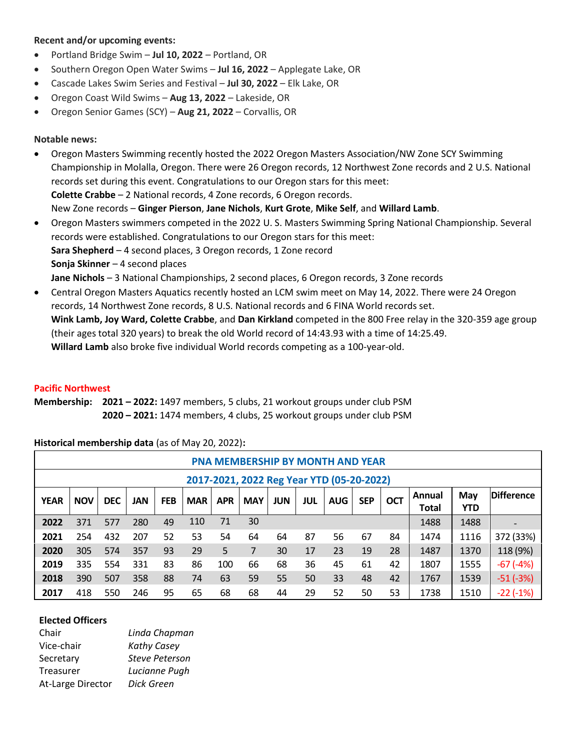# **Recent and/or upcoming events:**

- Portland Bridge Swim **Jul 10, 2022** Portland, OR
- Southern Oregon Open Water Swims **Jul 16, 2022** Applegate Lake, OR
- Cascade Lakes Swim Series and Festival **Jul 30, 2022** Elk Lake, OR
- Oregon Coast Wild Swims **Aug 13, 2022** Lakeside, OR
- Oregon Senior Games (SCY) **Aug 21, 2022** Corvallis, OR

#### **Notable news:**

- Oregon Masters Swimming recently hosted the 2022 Oregon Masters Association/NW Zone SCY Swimming Championship in Molalla, Oregon. There were 26 Oregon records, 12 Northwest Zone records and 2 U.S. National records set during this event. Congratulations to our Oregon stars for this meet: **Colette Crabbe** – 2 National records, 4 Zone records, 6 Oregon records. New Zone records – **Ginger Pierson**, **Jane Nichols**, **Kurt Grote**, **Mike Self**, and **Willard Lamb**.
- Oregon Masters swimmers competed in the 2022 U. S. Masters Swimming Spring National Championship. Several records were established. Congratulations to our Oregon stars for this meet: **Sara Shepherd** – 4 second places, 3 Oregon records, 1 Zone record **Sonja Skinner** – 4 second places **Jane Nichols** – 3 National Championships, 2 second places, 6 Oregon records, 3 Zone records
- Central Oregon Masters Aquatics recently hosted an LCM swim meet on May 14, 2022. There were 24 Oregon records, 14 Northwest Zone records, 8 U.S. National records and 6 FINA World records set. **Wink Lamb[, Joy Ward,](https://www.facebook.com/joy.ward2?__cft__%5b0%5d=AZWsd63LlhaeFx9__49vDJOSOn9Na6lKQRtkq6P24Abq8V66XRg-r3jieCjbLEhNOI89rN5fe1GKPSXO_B2W6bE7Wb4OMpzou5esmdbMnWnShWsv4T2myehHQrrGakxEkZ_pwSfqJmptgWGOQAjilVZt&__tn__=-%5dK-R) Colette Crabbe**, and **Dan Kirkland** competed in the 800 Free relay in the 320-359 age group (their ages total 320 years) to break the old World record of 14:43.93 with a time of 14:25.49. **Willard Lamb** also broke five individual World records competing as a 100-year-old.

#### **Pacific Northwest**

**Membership: 2021 – 2022:** 1497 members, 5 clubs, 21 workout groups under club PSM **2020 – 2021:** 1474 members, 4 clubs, 25 workout groups under club PSM

#### **Historical membership data** (as of May 20, 2022)**:**

|                                           | PNA MEMBERSHIP BY MONTH AND YEAR |            |     |            |            |            |            |     |     |            |            |            |                        |                   |                   |
|-------------------------------------------|----------------------------------|------------|-----|------------|------------|------------|------------|-----|-----|------------|------------|------------|------------------------|-------------------|-------------------|
| 2017-2021, 2022 Reg Year YTD (05-20-2022) |                                  |            |     |            |            |            |            |     |     |            |            |            |                        |                   |                   |
| <b>YEAR</b>                               | <b>NOV</b>                       | <b>DEC</b> | JAN | <b>FEB</b> | <b>MAR</b> | <b>APR</b> | <b>MAY</b> | JUN | JUL | <b>AUG</b> | <b>SEP</b> | <b>OCT</b> | Annual<br><b>Total</b> | May<br><b>YTD</b> | <b>Difference</b> |
| 2022                                      | 371                              | 577        | 280 | 49         | 110        | 71         | 30         |     |     |            |            |            | 1488                   | 1488              |                   |
| 2021                                      | 254                              | 432        | 207 | 52         | 53         | 54         | 64         | 64  | 87  | 56         | 67         | 84         | 1474                   | 1116              | 372 (33%)         |
| 2020                                      | 305                              | 574        | 357 | 93         | 29         | 5          | 7          | 30  | 17  | 23         | 19         | 28         | 1487                   | 1370              | 118 (9%)          |
| 2019                                      | 335                              | 554        | 331 | 83         | 86         | 100        | 66         | 68  | 36  | 45         | 61         | 42         | 1807                   | 1555              | $-67(-4%)$        |
| 2018                                      | 390                              | 507        | 358 | 88         | 74         | 63         | 59         | 55  | 50  | 33         | 48         | 42         | 1767                   | 1539              | $-51(-3%)$        |
| 2017                                      | 418                              | 550        | 246 | 95         | 65         | 68         | 68         | 44  | 29  | 52         | 50         | 53         | 1738                   | 1510              | $-22(-1%)$        |

#### **Elected Officers**

| Chair             | Linda Chapman         |
|-------------------|-----------------------|
| Vice-chair        | <b>Kathy Casey</b>    |
| Secretary         | <b>Steve Peterson</b> |
| Treasurer         | Lucianne Pugh         |
| At-Large Director | Dick Green            |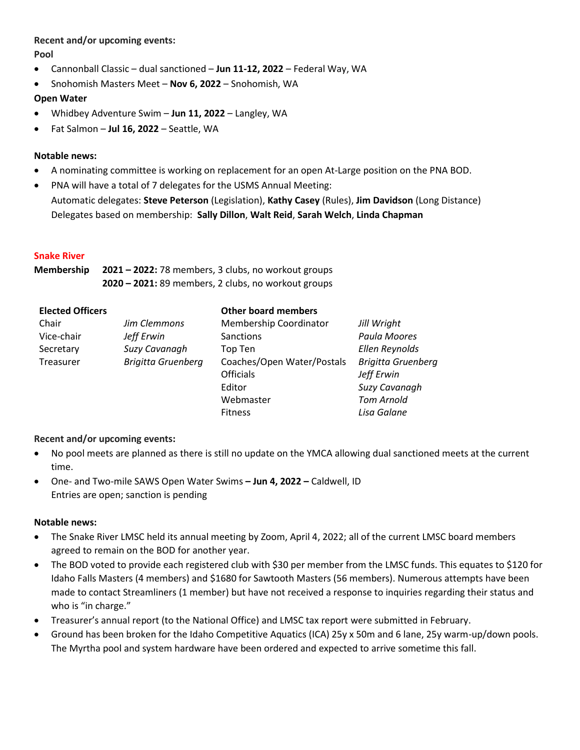#### **Recent and/or upcoming events:**

**Pool**

- Cannonball Classic dual sanctioned **Jun 11-12, 2022** Federal Way, WA
- Snohomish Masters Meet **Nov 6, 2022** Snohomish, WA

# **Open Water**

- Whidbey Adventure Swim **Jun 11, 2022** Langley, WA
- Fat Salmon **Jul 16, 2022** Seattle, WA

# **Notable news:**

- A nominating committee is working on replacement for an open At-Large position on the PNA BOD.
- PNA will have a total of 7 delegates for the USMS Annual Meeting:
- Automatic delegates: **Steve Peterson** (Legislation), **Kathy Casey** (Rules), **Jim Davidson** (Long Distance) Delegates based on membership: **Sally Dillon**, **Walt Reid**, **Sarah Welch**, **Linda Chapman**

# **Snake River**

**Membership 2021 – 2022:** 78 members, 3 clubs, no workout groups **2020 – 2021:** 89 members, 2 clubs, no workout groups

| <b>Elected Officers</b> |                           | <b>Other board members</b> |                           |
|-------------------------|---------------------------|----------------------------|---------------------------|
| Chair                   | Jim Clemmons              | Membership Coordinator     | Jill Wright               |
| Vice-chair              | Jeff Erwin                | Sanctions                  | Paula Moores              |
| Secretary               | Suzy Cavanagh             | Top Ten                    | Ellen Reynolds            |
| Treasurer               | <b>Brigitta Gruenberg</b> | Coaches/Open Water/Postals | <b>Brigitta Gruenberg</b> |
|                         |                           | <b>Officials</b>           | Jeff Erwin                |
|                         |                           | Editor                     | Suzy Cavanagh             |
|                         |                           | Webmaster                  | <b>Tom Arnold</b>         |
|                         |                           | <b>Fitness</b>             | Lisa Galane               |

#### **Recent and/or upcoming events:**

- No pool meets are planned as there is still no update on the YMCA allowing dual sanctioned meets at the current time.
- One- and Two-mile SAWS Open Water Swims **– Jun 4, 2022 –** Caldwell, ID Entries are open; sanction is pending

#### **Notable news:**

- The Snake River LMSC held its annual meeting by Zoom, April 4, 2022; all of the current LMSC board members agreed to remain on the BOD for another year.
- The BOD voted to provide each registered club with \$30 per member from the LMSC funds. This equates to \$120 for Idaho Falls Masters (4 members) and \$1680 for Sawtooth Masters (56 members). Numerous attempts have been made to contact Streamliners (1 member) but have not received a response to inquiries regarding their status and who is "in charge."
- Treasurer's annual report (to the National Office) and LMSC tax report were submitted in February.
- Ground has been broken for the Idaho Competitive Aquatics (ICA) 25y x 50m and 6 lane, 25y warm-up/down pools. The Myrtha pool and system hardware have been ordered and expected to arrive sometime this fall.